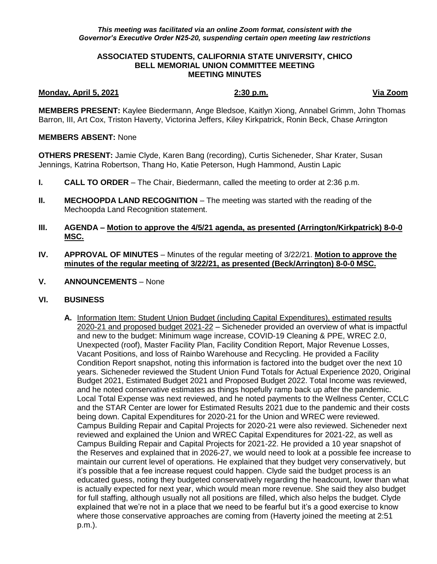## **ASSOCIATED STUDENTS, CALIFORNIA STATE UNIVERSITY, CHICO BELL MEMORIAL UNION COMMITTEE MEETING MEETING MINUTES**

## **Monday, April 5, 2021 2:30 p.m. Via Zoom**

**MEMBERS PRESENT:** Kaylee Biedermann, Ange Bledsoe, Kaitlyn Xiong, Annabel Grimm, John Thomas Barron, III, Art Cox, Triston Haverty, Victorina Jeffers, Kiley Kirkpatrick, Ronin Beck, Chase Arrington

## **MEMBERS ABSENT:** None

**OTHERS PRESENT:** Jamie Clyde, Karen Bang (recording), Curtis Sicheneder, Shar Krater, Susan Jennings, Katrina Robertson, Thang Ho, Katie Peterson, Hugh Hammond, Austin Lapic

- **I. CALL TO ORDER**  The Chair, Biedermann, called the meeting to order at 2:36 p.m.
- **II. MECHOOPDA LAND RECOGNITION** The meeting was started with the reading of the Mechoopda Land Recognition statement.
- **III. AGENDA – Motion to approve the 4/5/21 agenda, as presented (Arrington/Kirkpatrick) 8-0-0 MSC.**
- **IV. APPROVAL OF MINUTES** Minutes of the regular meeting of 3/22/21. **Motion to approve the minutes of the regular meeting of 3/22/21, as presented (Beck/Arrington) 8-0-0 MSC.**
- **V. ANNOUNCEMENTS** None
- **VI. BUSINESS**
	- **A.** Information Item: Student Union Budget (including Capital Expenditures), estimated results 2020-21 and proposed budget 2021-22 – Sicheneder provided an overview of what is impactful and new to the budget: Minimum wage increase, COVID-19 Cleaning & PPE, WREC 2.0, Unexpected (roof), Master Facility Plan, Facility Condition Report, Major Revenue Losses, Vacant Positions, and loss of Rainbo Warehouse and Recycling. He provided a Facility Condition Report snapshot, noting this information is factored into the budget over the next 10 years. Sicheneder reviewed the Student Union Fund Totals for Actual Experience 2020, Original Budget 2021, Estimated Budget 2021 and Proposed Budget 2022. Total Income was reviewed, and he noted conservative estimates as things hopefully ramp back up after the pandemic. Local Total Expense was next reviewed, and he noted payments to the Wellness Center, CCLC and the STAR Center are lower for Estimated Results 2021 due to the pandemic and their costs being down. Capital Expenditures for 2020-21 for the Union and WREC were reviewed. Campus Building Repair and Capital Projects for 2020-21 were also reviewed. Sicheneder next reviewed and explained the Union and WREC Capital Expenditures for 2021-22, as well as Campus Building Repair and Capital Projects for 2021-22. He provided a 10 year snapshot of the Reserves and explained that in 2026-27, we would need to look at a possible fee increase to maintain our current level of operations. He explained that they budget very conservatively, but it's possible that a fee increase request could happen. Clyde said the budget process is an educated guess, noting they budgeted conservatively regarding the headcount, lower than what is actually expected for next year, which would mean more revenue. She said they also budget for full staffing, although usually not all positions are filled, which also helps the budget. Clyde explained that we're not in a place that we need to be fearful but it's a good exercise to know where those conservative approaches are coming from (Haverty joined the meeting at 2:51 p.m.).